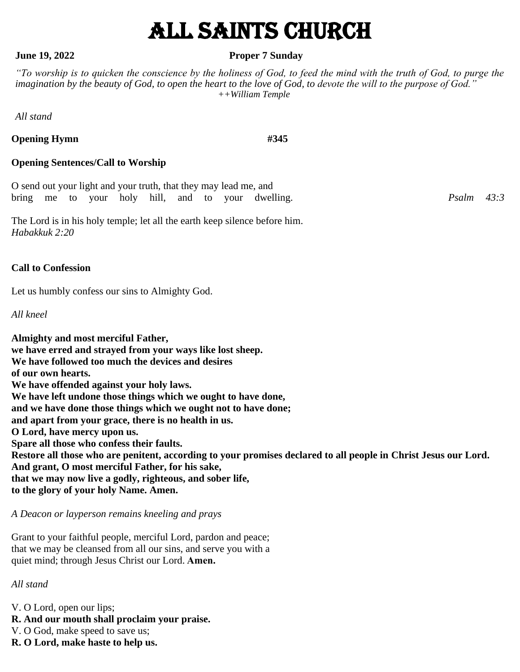# All Saints Church

#### **June 19, 2022 Proper 7 Sunday**

*"To worship is to quicken the conscience by the holiness of God, to feed the mind with the truth of God, to purge the imagination by the beauty of God, to open the heart to the love of God, to devote the will to the purpose of God." ++William Temple*

*All stand*

**Opening Hymn** #345

#### **Opening Sentences/Call to Worship**

O send out your light and your truth, that they may lead me, and bring me to your holy hill, and to your dwelling. *Psalm 43:3*

The Lord is in his holy temple; let all the earth keep silence before him. *Habakkuk 2:20*

#### **Call to Confession**

Let us humbly confess our sins to Almighty God.

*All kneel*

**Almighty and most merciful Father, we have erred and strayed from your ways like lost sheep. We have followed too much the devices and desires of our own hearts. We have offended against your holy laws. We have left undone those things which we ought to have done, and we have done those things which we ought not to have done; and apart from your grace, there is no health in us. O Lord, have mercy upon us. Spare all those who confess their faults. Restore all those who are penitent, according to your promises declared to all people in Christ Jesus our Lord. And grant, O most merciful Father, for his sake, that we may now live a godly, righteous, and sober life, to the glory of your holy Name. Amen.**

*A Deacon or layperson remains kneeling and prays*

Grant to your faithful people, merciful Lord, pardon and peace; that we may be cleansed from all our sins, and serve you with a quiet mind; through Jesus Christ our Lord.**Amen.**

*All stand*

V. O Lord, open our lips;

- **R. And our mouth shall proclaim your praise.**
- V. O God, make speed to save us;
- **R. O Lord, make haste to help us.**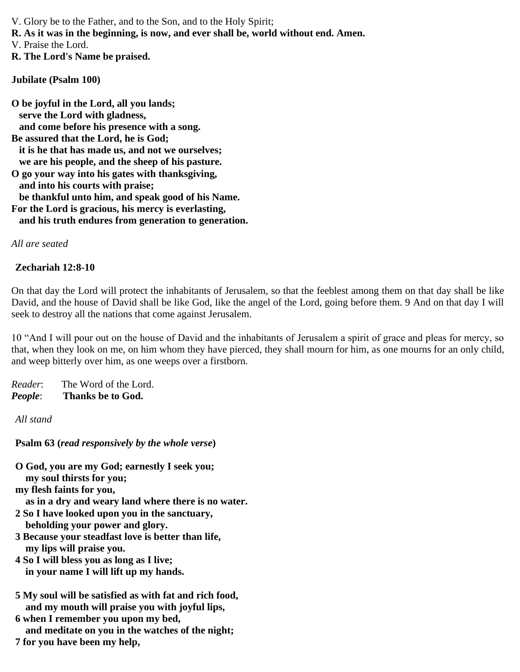V. Glory be to the Father, and to the Son, and to the Holy Spirit;

**R. As it was in the beginning, is now, and ever shall be, world without end. Amen.**

V. Praise the Lord.

**R. The Lord's Name be praised.**

**Jubilate (Psalm 100)**

**O be joyful in the Lord, all you lands; serve the Lord with gladness, and come before his presence with a song. Be assured that the Lord, he is God; it is he that has made us, and not we ourselves; we are his people, and the sheep of his pasture. O go your way into his gates with thanksgiving, and into his courts with praise; be thankful unto him, and speak good of his Name. For the Lord is gracious, his mercy is everlasting, and his truth endures from generation to generation.**

*All are seated*

#### **Zechariah 12:8-10**

On that day the Lord will protect the inhabitants of Jerusalem, so that the feeblest among them on that day shall be like David, and the house of David shall be like God, like the angel of the Lord, going before them. 9 And on that day I will seek to destroy all the nations that come against Jerusalem.

10 "And I will pour out on the house of David and the inhabitants of Jerusalem a spirit of grace and pleas for mercy, so that, when they look on me, on him whom they have pierced, they shall mourn for him, as one mourns for an only child, and weep bitterly over him, as one weeps over a firstborn.

*Reader*: The Word of the Lord. *People*: **Thanks be to God.**

*All stand*

**Psalm 63 (***read responsively by the whole verse***)**

**O God, you are my God; earnestly I seek you; my soul thirsts for you;**

**my flesh faints for you,**

 **as in a dry and weary land where there is no water.**

- **2 So I have looked upon you in the sanctuary, beholding your power and glory.**
- **3 Because your steadfast love is better than life, my lips will praise you.**
- **4 So I will bless you as long as I live; in your name I will lift up my hands.**
- **5 My soul will be satisfied as with fat and rich food, and my mouth will praise you with joyful lips,**
- **6 when I remember you upon my bed, and meditate on you in the watches of the night;**
- **7 for you have been my help,**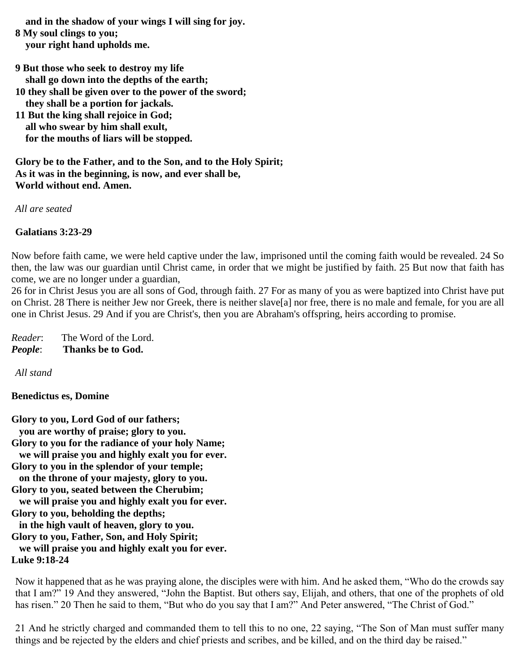**and in the shadow of your wings I will sing for joy.**

- **8 My soul clings to you; your right hand upholds me.**
- **9 But those who seek to destroy my life shall go down into the depths of the earth;**
- **10 they shall be given over to the power of the sword;**
- **they shall be a portion for jackals.**
- **11 But the king shall rejoice in God; all who swear by him shall exult, for the mouths of liars will be stopped.**

**Glory be to the Father, and to the Son, and to the Holy Spirit; As it was in the beginning, is now, and ever shall be, World without end. Amen.**

*All are seated*

**Galatians 3:23-29**

Now before faith came, we were held captive under the law, imprisoned until the coming faith would be revealed. 24 So then, the law was our guardian until Christ came, in order that we might be justified by faith. 25 But now that faith has come, we are no longer under a guardian,

26 for in Christ Jesus you are all sons of God, through faith. 27 For as many of you as were baptized into Christ have put on Christ. 28 There is neither Jew nor Greek, there is neither slave[a] nor free, there is no male and female, for you are all one in Christ Jesus. 29 And if you are Christ's, then you are Abraham's offspring, heirs according to promise.

*Reader*: The Word of the Lord. *People*: **Thanks be to God.**

*All stand*

**Benedictus es, Domine**

**Glory to you, Lord God of our fathers; you are worthy of praise; glory to you. Glory to you for the radiance of your holy Name; we will praise you and highly exalt you for ever. Glory to you in the splendor of your temple; on the throne of your majesty, glory to you. Glory to you, seated between the Cherubim; we will praise you and highly exalt you for ever. Glory to you, beholding the depths; in the high vault of heaven, glory to you. Glory to you, Father, Son, and Holy Spirit; we will praise you and highly exalt you for ever. Luke 9:18-24**

Now it happened that as he was praying alone, the disciples were with him. And he asked them, "Who do the crowds say that I am?" 19 And they answered, "John the Baptist. But others say, Elijah, and others, that one of the prophets of old has risen." 20 Then he said to them, "But who do you say that I am?" And Peter answered, "The Christ of God."

21 And he strictly charged and commanded them to tell this to no one, 22 saying, "The Son of Man must suffer many things and be rejected by the elders and chief priests and scribes, and be killed, and on the third day be raised."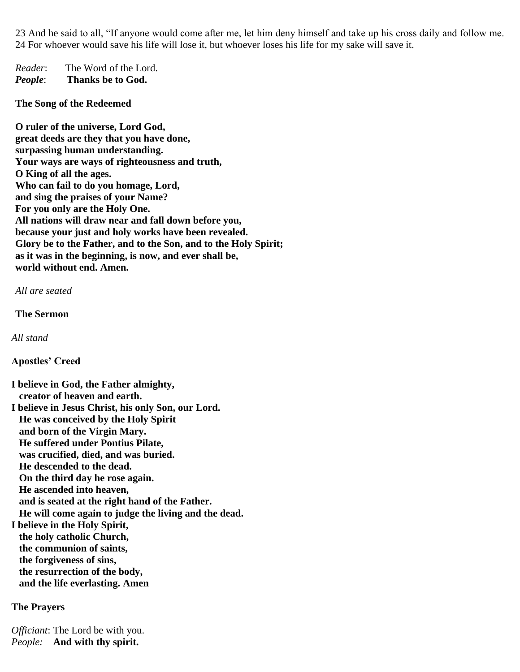23 And he said to all, "If anyone would come after me, let him deny himself and take up his cross daily and follow me. 24 For whoever would save his life will lose it, but whoever loses his life for my sake will save it.

*Reader*: The Word of the Lord. *People*: **Thanks be to God.**

**The Song of the Redeemed**

**O ruler of the universe, Lord God, great deeds are they that you have done, surpassing human understanding. Your ways are ways of righteousness and truth, O King of all the ages. Who can fail to do you homage, Lord, and sing the praises of your Name? For you only are the Holy One. All nations will draw near and fall down before you, because your just and holy works have been revealed. Glory be to the Father, and to the Son, and to the Holy Spirit; as it was in the beginning, is now, and ever shall be, world without end. Amen.**

*All are seated*

**The Sermon**

*All stand*

**Apostles' Creed**

**I believe in God, the Father almighty, creator of heaven and earth. I believe in Jesus Christ, his only Son, our Lord. He was conceived by the Holy Spirit and born of the Virgin Mary. He suffered under Pontius Pilate, was crucified, died, and was buried. He descended to the dead. On the third day he rose again. He ascended into heaven, and is seated at the right hand of the Father. He will come again to judge the living and the dead. I believe in the Holy Spirit,**

 **the holy catholic Church, the communion of saints, the forgiveness of sins, the resurrection of the body, and the life everlasting. Amen**

**The Prayers**

*Officiant*: The Lord be with you. *People:* **And with thy spirit.**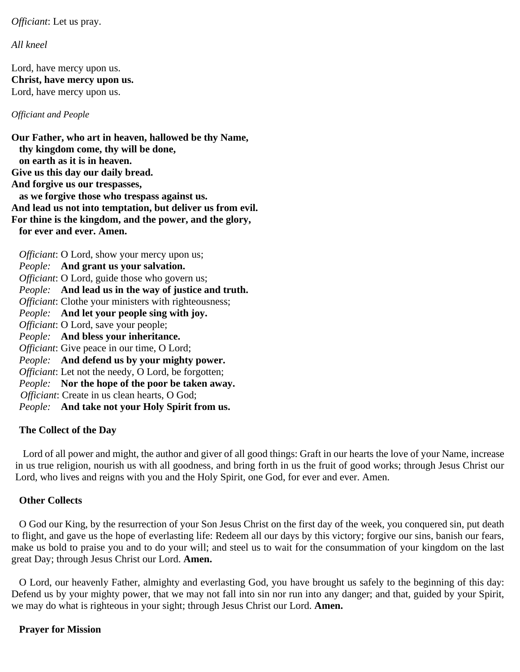*Officiant*: Let us pray.

*All kneel*

Lord, have mercy upon us. **Christ, have mercy upon us.** Lord, have mercy upon us.

*Officiant and People*

**Our Father, who art in heaven, hallowed be thy Name, thy kingdom come, thy will be done, on earth as it is in heaven. Give us this day our daily bread. And forgive us our trespasses, as we forgive those who trespass against us. And lead us not into temptation, but deliver us from evil. For thine is the kingdom, and the power, and the glory, for ever and ever. Amen.** *Officiant*: O Lord, show your mercy upon us; *People:* **And grant us your salvation.** *Officiant*: O Lord, guide those who govern us; *People:* **And lead us in the way of justice and truth.** *Officiant*: Clothe your ministers with righteousness; *People:* **And let your people sing with joy.** *Officiant*: O Lord, save your people; *People:* **And bless your inheritance.** *Officiant*: Give peace in our time, O Lord; *People:* **And defend us by your mighty power.** *Officiant*: Let not the needy, O Lord, be forgotten; *People:* **Nor the hope of the poor be taken away.** *Officiant*: Create in us clean hearts, O God; *People:* **And take not your Holy Spirit from us.**

#### **The Collect of the Day**

Lord of all power and might, the author and giver of all good things: Graft in our hearts the love of your Name, increase in us true religion, nourish us with all goodness, and bring forth in us the fruit of good works; through Jesus Christ our Lord, who lives and reigns with you and the Holy Spirit, one God, for ever and ever. Amen.

#### **Other Collects**

O God our King, by the resurrection of your Son Jesus Christ on the first day of the week, you conquered sin, put death to flight, and gave us the hope of everlasting life: Redeem all our days by this victory; forgive our sins, banish our fears, make us bold to praise you and to do your will; and steel us to wait for the consummation of your kingdom on the last great Day; through Jesus Christ our Lord. **Amen.**

O Lord, our heavenly Father, almighty and everlasting God, you have brought us safely to the beginning of this day: Defend us by your mighty power, that we may not fall into sin nor run into any danger; and that, guided by your Spirit, we may do what is righteous in your sight; through Jesus Christ our Lord. **Amen.**

#### **Prayer for Mission**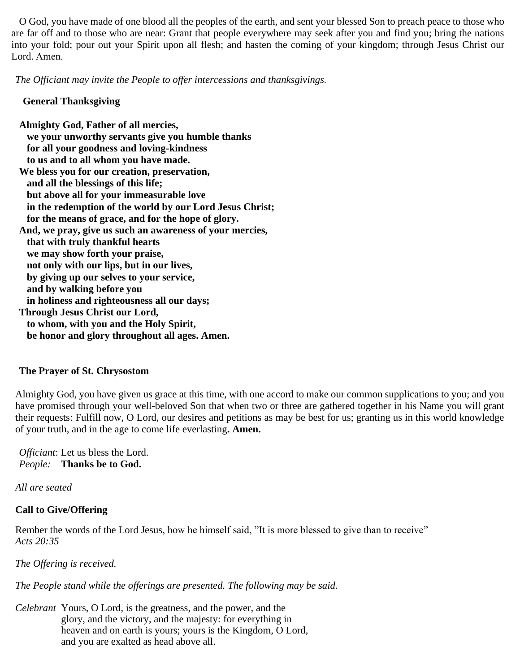O God, you have made of one blood all the peoples of the earth, and sent your blessed Son to preach peace to those who are far off and to those who are near: Grant that people everywhere may seek after you and find you; bring the nations into your fold; pour out your Spirit upon all flesh; and hasten the coming of your kingdom; through Jesus Christ our Lord. Amen.

*The Officiant may invite the People to offer intercessions and thanksgivings.*

#### **General Thanksgiving**

**Almighty God, Father of all mercies, we your unworthy servants give you humble thanks for all your goodness and loving-kindness to us and to all whom you have made. We bless you for our creation, preservation, and all the blessings of this life; but above all for your immeasurable love in the redemption of the world by our Lord Jesus Christ; for the means of grace, and for the hope of glory. And, we pray, give us such an awareness of your mercies, that with truly thankful hearts we may show forth your praise, not only with our lips, but in our lives, by giving up our selves to your service, and by walking before you in holiness and righteousness all our days; Through Jesus Christ our Lord, to whom, with you and the Holy Spirit, be honor and glory throughout all ages. Amen.**

#### **The Prayer of St. Chrysostom**

Almighty God, you have given us grace at this time, with one accord to make our common supplications to you; and you have promised through your well-beloved Son that when two or three are gathered together in his Name you will grant their requests: Fulfill now, O Lord, our desires and petitions as may be best for us; granting us in this world knowledge of your truth, and in the age to come life everlasting**. Amen.**

*Officiant*: Let us bless the Lord. *People:* **Thanks be to God.**

*All are seated*

#### **Call to Give/Offering**

Rember the words of the Lord Jesus, how he himself said, "It is more blessed to give than to receive" *Acts 20:35*

*The Offering is received.*

*The People stand while the offerings are presented. The following may be said.*

*Celebrant* Yours, O Lord, is the greatness, and the power, and the glory, and the victory, and the majesty: for everything in heaven and on earth is yours; yours is the Kingdom, O Lord, and you are exalted as head above all.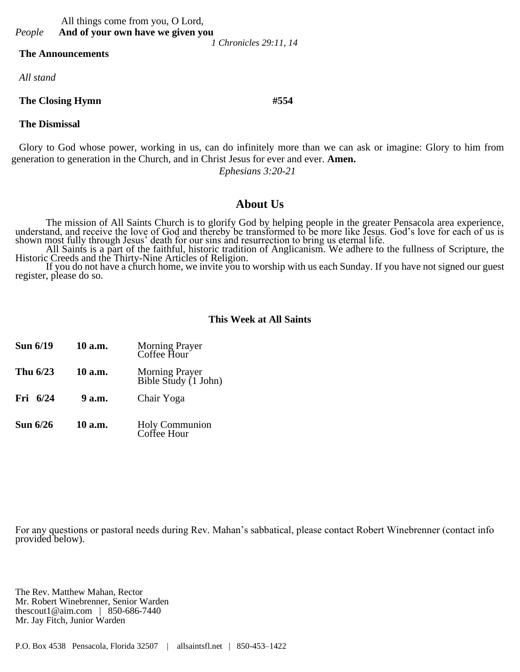#### All things come from you, O Lord, *People* **And of your own have we given you**

 *1 Chronicles 29:11, 14*

#### **The Announcements**

*All stand*

#### **The Closing Hymn #554**

#### **The Dismissal**

Glory to God whose power, working in us, can do infinitely more than we can ask or imagine: Glory to him from generation to generation in the Church, and in Christ Jesus for ever and ever. **Amen.**

*Ephesians 3:20-21*

### **About Us**

The mission of All Saints Church is to glorify God by helping people in the greater Pensacola area experience, understand, and receive the love of God and thereby be transformed to be more like Jesus. God's love for each of us is shown most fully through Jesus' death for our sins and resurrection to bring us eternal life.

All Saints is a part of the faithful, historic tradition of Anglicanism. We adhere to the fullness of Scripture, the Historic Creeds and the Thirty-Nine Articles of Religion.

If you do not have a church home, we invite you to worship with us each Sunday. If you have not signed our guest register, please do so.

#### **This Week at All Saints**

**Sun 6/19 10 a.m.** Morning Prayer Coffee Hour **Thu 6/23 10 a.m.** Morning Prayer Bible Study (1 John) **Fri 6/24 9 a.m.** Chair Yoga **Sun 6/26 10 a.m.** Holy Communion Coffee Hour

For any questions or pastoral needs during Rev. Mahan's sabbatical, please contact Robert Winebrenner (contact info provided below).

The Rev. Matthew Mahan, Rector Mr. Robert Winebrenner, Senior Warden thescout1@aim.com | 850-686-7440 Mr. Jay Fitch, Junior Warden